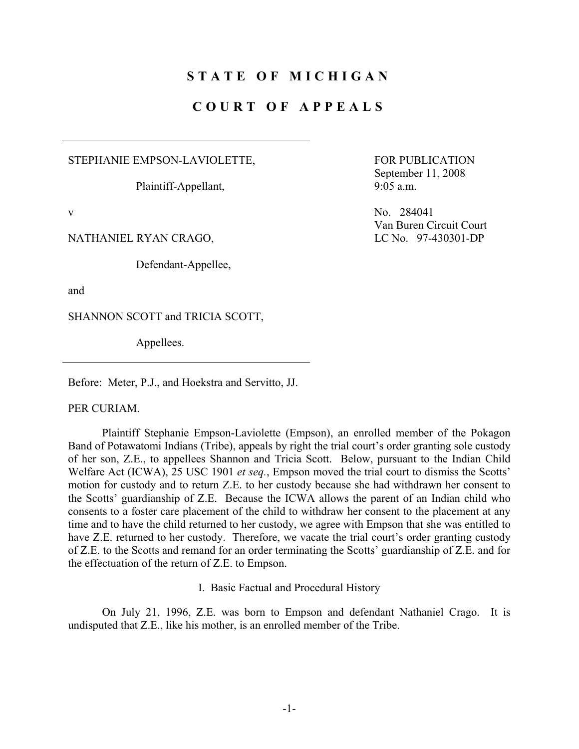# **STATE OF MICHIGAN**

# **COURT OF APPEALS**

STEPHANIE EMPSON-LAVIOLETTE,

Plaintiff-Appellant,

NATHANIEL RYAN CRAGO, LC No. 97-430301-DP

Defendant-Appellee,

and

SHANNON SCOTT and TRICIA SCOTT,

Appellees.

Before: Meter, P.J., and Hoekstra and Servitto, JJ.

PER CURIAM.

 Plaintiff Stephanie Empson-Laviolette (Empson), an enrolled member of the Pokagon Band of Potawatomi Indians (Tribe), appeals by right the trial court's order granting sole custody of her son, Z.E., to appellees Shannon and Tricia Scott. Below, pursuant to the Indian Child Welfare Act (ICWA), 25 USC 1901 *et seq.*, Empson moved the trial court to dismiss the Scotts' motion for custody and to return Z.E. to her custody because she had withdrawn her consent to the Scotts' guardianship of Z.E. Because the ICWA allows the parent of an Indian child who consents to a foster care placement of the child to withdraw her consent to the placement at any time and to have the child returned to her custody, we agree with Empson that she was entitled to have Z.E. returned to her custody. Therefore, we vacate the trial court's order granting custody of Z.E. to the Scotts and remand for an order terminating the Scotts' guardianship of Z.E. and for the effectuation of the return of Z.E. to Empson.

I. Basic Factual and Procedural History

 On July 21, 1996, Z.E. was born to Empson and defendant Nathaniel Crago. It is undisputed that Z.E., like his mother, is an enrolled member of the Tribe.

 FOR PUBLICATION September 11, 2008 9:05 a.m.

v No. 284041 Van Buren Circuit Court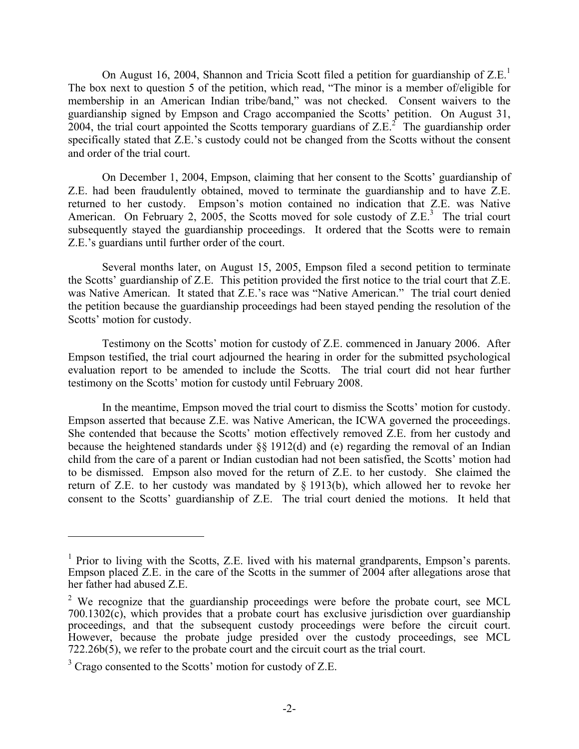On August 16, 2004, Shannon and Tricia Scott filed a petition for guardianship of  $Z.E.<sup>1</sup>$ The box next to question 5 of the petition, which read, "The minor is a member of/eligible for membership in an American Indian tribe/band," was not checked. Consent waivers to the guardianship signed by Empson and Crago accompanied the Scotts' petition. On August 31, 2004, the trial court appointed the Scotts temporary guardians of  $Z.E.<sup>2</sup>$  The guardianship order specifically stated that Z.E.'s custody could not be changed from the Scotts without the consent and order of the trial court.

 On December 1, 2004, Empson, claiming that her consent to the Scotts' guardianship of Z.E. had been fraudulently obtained, moved to terminate the guardianship and to have Z.E. returned to her custody. Empson's motion contained no indication that Z.E. was Native American. On February 2, 2005, the Scotts moved for sole custody of  $Z.E^{3}$ . The trial court subsequently stayed the guardianship proceedings. It ordered that the Scotts were to remain Z.E.'s guardians until further order of the court.

 Several months later, on August 15, 2005, Empson filed a second petition to terminate the Scotts' guardianship of Z.E. This petition provided the first notice to the trial court that Z.E. was Native American. It stated that Z.E.'s race was "Native American." The trial court denied the petition because the guardianship proceedings had been stayed pending the resolution of the Scotts' motion for custody.

 Testimony on the Scotts' motion for custody of Z.E. commenced in January 2006. After Empson testified, the trial court adjourned the hearing in order for the submitted psychological evaluation report to be amended to include the Scotts. The trial court did not hear further testimony on the Scotts' motion for custody until February 2008.

 In the meantime, Empson moved the trial court to dismiss the Scotts' motion for custody. Empson asserted that because Z.E. was Native American, the ICWA governed the proceedings. She contended that because the Scotts' motion effectively removed Z.E. from her custody and because the heightened standards under §§ 1912(d) and (e) regarding the removal of an Indian child from the care of a parent or Indian custodian had not been satisfied, the Scotts' motion had to be dismissed. Empson also moved for the return of Z.E. to her custody. She claimed the return of Z.E. to her custody was mandated by § 1913(b), which allowed her to revoke her consent to the Scotts' guardianship of Z.E. The trial court denied the motions. It held that

1

<sup>&</sup>lt;sup>1</sup> Prior to living with the Scotts, Z.E. lived with his maternal grandparents, Empson's parents. Empson placed Z.E. in the care of the Scotts in the summer of 2004 after allegations arose that her father had abused Z.E.

<sup>&</sup>lt;sup>2</sup> We recognize that the guardianship proceedings were before the probate court, see MCL 700.1302(c), which provides that a probate court has exclusive jurisdiction over guardianship proceedings, and that the subsequent custody proceedings were before the circuit court. However, because the probate judge presided over the custody proceedings, see MCL 722.26b(5), we refer to the probate court and the circuit court as the trial court.

 $3$  Crago consented to the Scotts' motion for custody of Z.E.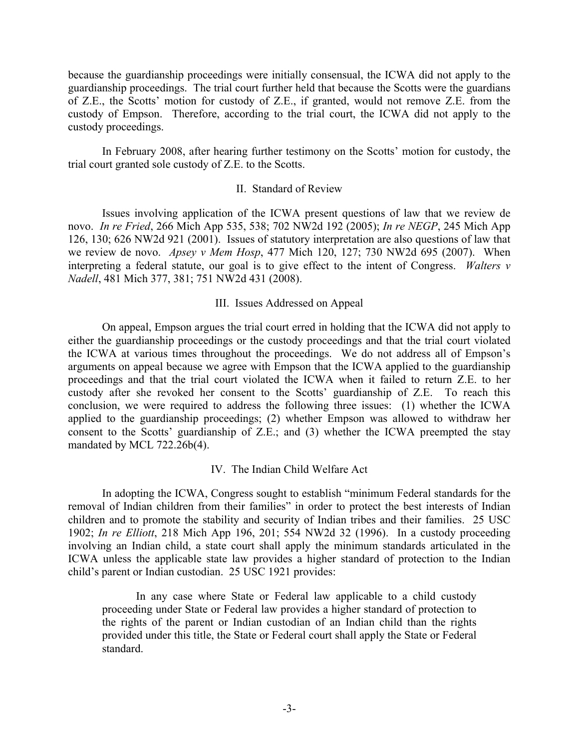because the guardianship proceedings were initially consensual, the ICWA did not apply to the guardianship proceedings. The trial court further held that because the Scotts were the guardians of Z.E., the Scotts' motion for custody of Z.E., if granted, would not remove Z.E. from the custody of Empson. Therefore, according to the trial court, the ICWA did not apply to the custody proceedings.

 In February 2008, after hearing further testimony on the Scotts' motion for custody, the trial court granted sole custody of Z.E. to the Scotts.

### II. Standard of Review

 Issues involving application of the ICWA present questions of law that we review de novo. *In re Fried*, 266 Mich App 535, 538; 702 NW2d 192 (2005); *In re NEGP*, 245 Mich App 126, 130; 626 NW2d 921 (2001). Issues of statutory interpretation are also questions of law that we review de novo. *Apsey v Mem Hosp*, 477 Mich 120, 127; 730 NW2d 695 (2007). When interpreting a federal statute, our goal is to give effect to the intent of Congress. *Walters v Nadell*, 481 Mich 377, 381; 751 NW2d 431 (2008).

### III. Issues Addressed on Appeal

 On appeal, Empson argues the trial court erred in holding that the ICWA did not apply to either the guardianship proceedings or the custody proceedings and that the trial court violated the ICWA at various times throughout the proceedings. We do not address all of Empson's arguments on appeal because we agree with Empson that the ICWA applied to the guardianship proceedings and that the trial court violated the ICWA when it failed to return Z.E. to her custody after she revoked her consent to the Scotts' guardianship of Z.E. To reach this conclusion, we were required to address the following three issues: (1) whether the ICWA applied to the guardianship proceedings; (2) whether Empson was allowed to withdraw her consent to the Scotts' guardianship of Z.E.; and (3) whether the ICWA preempted the stay mandated by MCL 722.26b(4).

## IV. The Indian Child Welfare Act

 In adopting the ICWA, Congress sought to establish "minimum Federal standards for the removal of Indian children from their families" in order to protect the best interests of Indian children and to promote the stability and security of Indian tribes and their families. 25 USC 1902; *In re Elliott*, 218 Mich App 196, 201; 554 NW2d 32 (1996). In a custody proceeding involving an Indian child, a state court shall apply the minimum standards articulated in the ICWA unless the applicable state law provides a higher standard of protection to the Indian child's parent or Indian custodian. 25 USC 1921 provides:

 In any case where State or Federal law applicable to a child custody proceeding under State or Federal law provides a higher standard of protection to the rights of the parent or Indian custodian of an Indian child than the rights provided under this title, the State or Federal court shall apply the State or Federal standard.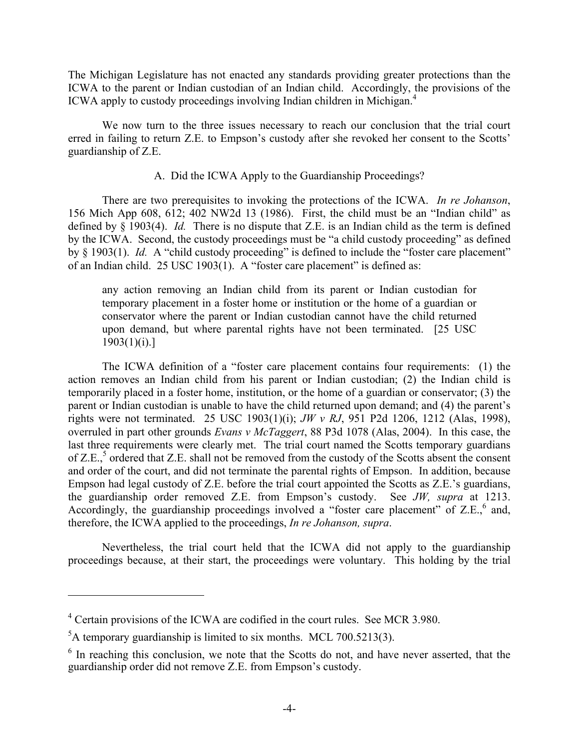The Michigan Legislature has not enacted any standards providing greater protections than the ICWA to the parent or Indian custodian of an Indian child. Accordingly, the provisions of the ICWA apply to custody proceedings involving Indian children in Michigan.<sup>4</sup>

 We now turn to the three issues necessary to reach our conclusion that the trial court erred in failing to return Z.E. to Empson's custody after she revoked her consent to the Scotts' guardianship of Z.E.

# A. Did the ICWA Apply to the Guardianship Proceedings?

 There are two prerequisites to invoking the protections of the ICWA. *In re Johanson*, 156 Mich App 608, 612; 402 NW2d 13 (1986). First, the child must be an "Indian child" as defined by § 1903(4). *Id.* There is no dispute that Z.E. is an Indian child as the term is defined by the ICWA. Second, the custody proceedings must be "a child custody proceeding" as defined by § 1903(1). *Id.* A "child custody proceeding" is defined to include the "foster care placement" of an Indian child. 25 USC 1903(1). A "foster care placement" is defined as:

any action removing an Indian child from its parent or Indian custodian for temporary placement in a foster home or institution or the home of a guardian or conservator where the parent or Indian custodian cannot have the child returned upon demand, but where parental rights have not been terminated. [25 USC  $1903(1)(i).$ 

 The ICWA definition of a "foster care placement contains four requirements: (1) the action removes an Indian child from his parent or Indian custodian; (2) the Indian child is temporarily placed in a foster home, institution, or the home of a guardian or conservator; (3) the parent or Indian custodian is unable to have the child returned upon demand; and (4) the parent's rights were not terminated. 25 USC 1903(1)(i); *JW v RJ*, 951 P2d 1206, 1212 (Alas, 1998), overruled in part other grounds *Evans v McTaggert*, 88 P3d 1078 (Alas, 2004). In this case, the last three requirements were clearly met. The trial court named the Scotts temporary guardians of Z.E.,<sup>5</sup> ordered that Z.E. shall not be removed from the custody of the Scotts absent the consent and order of the court, and did not terminate the parental rights of Empson. In addition, because Empson had legal custody of Z.E. before the trial court appointed the Scotts as Z.E.'s guardians, the guardianship order removed Z.E. from Empson's custody. See *JW, supra* at 1213. Accordingly, the guardianship proceedings involved a "foster care placement" of Z.E., and, therefore, the ICWA applied to the proceedings, *In re Johanson, supra*.

 Nevertheless, the trial court held that the ICWA did not apply to the guardianship proceedings because, at their start, the proceedings were voluntary. This holding by the trial

1

<sup>&</sup>lt;sup>4</sup> Certain provisions of the ICWA are codified in the court rules. See MCR 3.980.

 ${}^{5}$ A temporary guardianship is limited to six months. MCL 700.5213(3).

 $6$  In reaching this conclusion, we note that the Scotts do not, and have never asserted, that the guardianship order did not remove Z.E. from Empson's custody.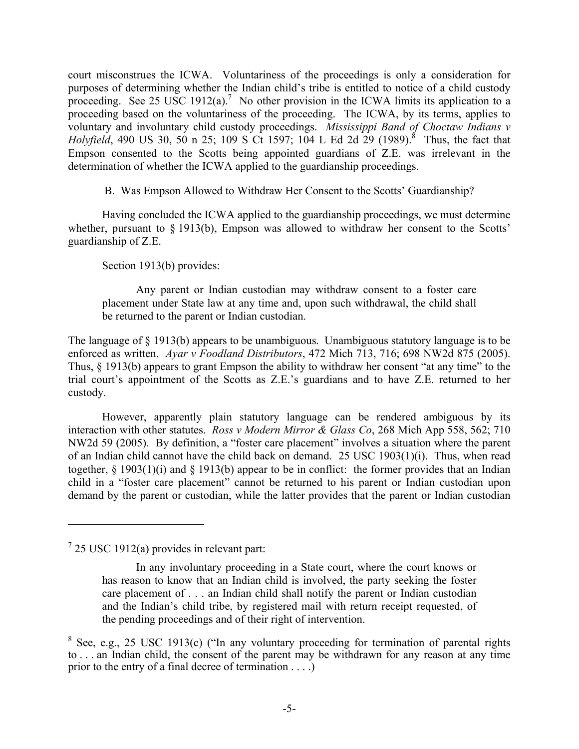court misconstrues the ICWA. Voluntariness of the proceedings is only a consideration for purposes of determining whether the Indian child's tribe is entitled to notice of a child custody proceeding. See 25 USC 1912(a).<sup>7</sup> No other provision in the ICWA limits its application to a proceeding based on the voluntariness of the proceeding. The ICWA, by its terms, applies to voluntary and involuntary child custody proceedings. *Mississippi Band of Choctaw Indians v Holyfield*, 490 US 30, 50 n 25; 109 S Ct 1597; 104 L Ed 2d 29 (1989).<sup>8</sup> Thus, the fact that Empson consented to the Scotts being appointed guardians of Z.E. was irrelevant in the determination of whether the ICWA applied to the guardianship proceedings.

B. Was Empson Allowed to Withdraw Her Consent to the Scotts' Guardianship?

 Having concluded the ICWA applied to the guardianship proceedings, we must determine whether, pursuant to § 1913(b), Empson was allowed to withdraw her consent to the Scotts' guardianship of Z.E.

Section 1913(b) provides:

 Any parent or Indian custodian may withdraw consent to a foster care placement under State law at any time and, upon such withdrawal, the child shall be returned to the parent or Indian custodian.

The language of § 1913(b) appears to be unambiguous. Unambiguous statutory language is to be enforced as written. *Ayar v Foodland Distributors*, 472 Mich 713, 716; 698 NW2d 875 (2005). Thus, § 1913(b) appears to grant Empson the ability to withdraw her consent "at any time" to the trial court's appointment of the Scotts as Z.E.'s guardians and to have Z.E. returned to her custody.

 However, apparently plain statutory language can be rendered ambiguous by its interaction with other statutes. *Ross v Modern Mirror & Glass Co*, 268 Mich App 558, 562; 710 NW2d 59 (2005)*.* By definition, a "foster care placement" involves a situation where the parent of an Indian child cannot have the child back on demand. 25 USC 1903(1)(i). Thus, when read together, § 1903(1)(i) and § 1913(b) appear to be in conflict: the former provides that an Indian child in a "foster care placement" cannot be returned to his parent or Indian custodian upon demand by the parent or custodian, while the latter provides that the parent or Indian custodian

1

 $725$  USC 1912(a) provides in relevant part:

In any involuntary proceeding in a State court, where the court knows or has reason to know that an Indian child is involved, the party seeking the foster care placement of . . . an Indian child shall notify the parent or Indian custodian and the Indian's child tribe, by registered mail with return receipt requested, of the pending proceedings and of their right of intervention.

 $8$  See, e.g., 25 USC 1913(c) ("In any voluntary proceeding for termination of parental rights to . . . an Indian child, the consent of the parent may be withdrawn for any reason at any time prior to the entry of a final decree of termination . . . .)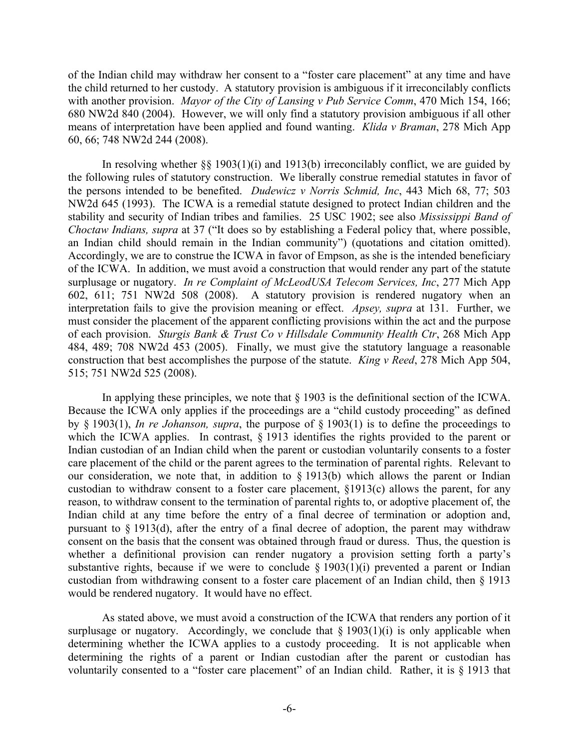of the Indian child may withdraw her consent to a "foster care placement" at any time and have the child returned to her custody. A statutory provision is ambiguous if it irreconcilably conflicts with another provision. *Mayor of the City of Lansing v Pub Service Comm*, 470 Mich 154, 166; 680 NW2d 840 (2004). However, we will only find a statutory provision ambiguous if all other means of interpretation have been applied and found wanting. *Klida v Braman*, 278 Mich App 60, 66; 748 NW2d 244 (2008).

In resolving whether  $\S$ § 1903(1)(i) and 1913(b) irreconcilably conflict, we are guided by the following rules of statutory construction. We liberally construe remedial statutes in favor of the persons intended to be benefited. *Dudewicz v Norris Schmid, Inc*, 443 Mich 68, 77; 503 NW2d 645 (1993). The ICWA is a remedial statute designed to protect Indian children and the stability and security of Indian tribes and families. 25 USC 1902; see also *Mississippi Band of Choctaw Indians, supra* at 37 ("It does so by establishing a Federal policy that, where possible, an Indian child should remain in the Indian community") (quotations and citation omitted). Accordingly, we are to construe the ICWA in favor of Empson, as she is the intended beneficiary of the ICWA. In addition, we must avoid a construction that would render any part of the statute surplusage or nugatory. *In re Complaint of McLeodUSA Telecom Services, Inc*, 277 Mich App 602, 611; 751 NW2d 508 (2008). A statutory provision is rendered nugatory when an interpretation fails to give the provision meaning or effect. *Apsey, supra* at 131. Further, we must consider the placement of the apparent conflicting provisions within the act and the purpose of each provision. *Sturgis Bank & Trust Co v Hillsdale Community Health Ctr*, 268 Mich App 484, 489; 708 NW2d 453 (2005). Finally, we must give the statutory language a reasonable construction that best accomplishes the purpose of the statute. *King v Reed*, 278 Mich App 504, 515; 751 NW2d 525 (2008).

In applying these principles, we note that  $\S$  1903 is the definitional section of the ICWA. Because the ICWA only applies if the proceedings are a "child custody proceeding" as defined by § 1903(1), *In re Johanson, supra*, the purpose of § 1903(1) is to define the proceedings to which the ICWA applies. In contrast, § 1913 identifies the rights provided to the parent or Indian custodian of an Indian child when the parent or custodian voluntarily consents to a foster care placement of the child or the parent agrees to the termination of parental rights. Relevant to our consideration, we note that, in addition to § 1913(b) which allows the parent or Indian custodian to withdraw consent to a foster care placement, §1913(c) allows the parent, for any reason, to withdraw consent to the termination of parental rights to, or adoptive placement of, the Indian child at any time before the entry of a final decree of termination or adoption and, pursuant to § 1913(d), after the entry of a final decree of adoption, the parent may withdraw consent on the basis that the consent was obtained through fraud or duress. Thus, the question is whether a definitional provision can render nugatory a provision setting forth a party's substantive rights, because if we were to conclude  $\S$  1903(1)(i) prevented a parent or Indian custodian from withdrawing consent to a foster care placement of an Indian child, then § 1913 would be rendered nugatory. It would have no effect.

 As stated above, we must avoid a construction of the ICWA that renders any portion of it surplusage or nugatory. Accordingly, we conclude that  $\S 1903(1)(i)$  is only applicable when determining whether the ICWA applies to a custody proceeding. It is not applicable when determining the rights of a parent or Indian custodian after the parent or custodian has voluntarily consented to a "foster care placement" of an Indian child. Rather, it is § 1913 that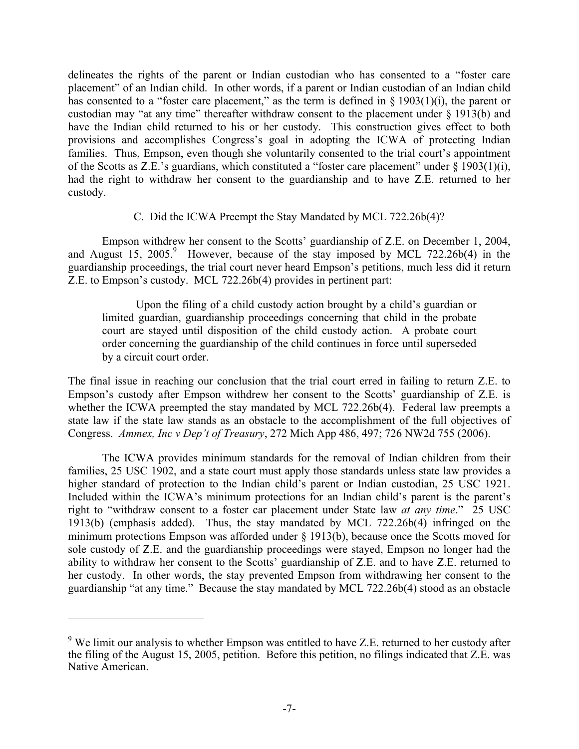delineates the rights of the parent or Indian custodian who has consented to a "foster care placement" of an Indian child. In other words, if a parent or Indian custodian of an Indian child has consented to a "foster care placement," as the term is defined in  $\S$  1903(1)(i), the parent or custodian may "at any time" thereafter withdraw consent to the placement under § 1913(b) and have the Indian child returned to his or her custody. This construction gives effect to both provisions and accomplishes Congress's goal in adopting the ICWA of protecting Indian families. Thus, Empson, even though she voluntarily consented to the trial court's appointment of the Scotts as Z.E.'s guardians, which constituted a "foster care placement" under § 1903(1)(i), had the right to withdraw her consent to the guardianship and to have Z.E. returned to her custody.

## C. Did the ICWA Preempt the Stay Mandated by MCL 722.26b(4)?

 Empson withdrew her consent to the Scotts' guardianship of Z.E. on December 1, 2004, and August 15,  $2005$ .<sup>9</sup> However, because of the stay imposed by MCL 722.26b(4) in the guardianship proceedings, the trial court never heard Empson's petitions, much less did it return Z.E. to Empson's custody. MCL 722.26b(4) provides in pertinent part:

 Upon the filing of a child custody action brought by a child's guardian or limited guardian, guardianship proceedings concerning that child in the probate court are stayed until disposition of the child custody action. A probate court order concerning the guardianship of the child continues in force until superseded by a circuit court order.

The final issue in reaching our conclusion that the trial court erred in failing to return Z.E. to Empson's custody after Empson withdrew her consent to the Scotts' guardianship of Z.E. is whether the ICWA preempted the stay mandated by MCL 722.26b(4). Federal law preempts a state law if the state law stands as an obstacle to the accomplishment of the full objectives of Congress. *Ammex, Inc v Dep't of Treasury*, 272 Mich App 486, 497; 726 NW2d 755 (2006).

 The ICWA provides minimum standards for the removal of Indian children from their families, 25 USC 1902, and a state court must apply those standards unless state law provides a higher standard of protection to the Indian child's parent or Indian custodian, 25 USC 1921. Included within the ICWA's minimum protections for an Indian child's parent is the parent's right to "withdraw consent to a foster car placement under State law *at any time*." 25 USC 1913(b) (emphasis added). Thus, the stay mandated by MCL 722.26b(4) infringed on the minimum protections Empson was afforded under § 1913(b), because once the Scotts moved for sole custody of Z.E. and the guardianship proceedings were stayed, Empson no longer had the ability to withdraw her consent to the Scotts' guardianship of Z.E. and to have Z.E. returned to her custody. In other words, the stay prevented Empson from withdrawing her consent to the guardianship "at any time." Because the stay mandated by MCL 722.26b(4) stood as an obstacle

 $\overline{a}$ 

 $9$  We limit our analysis to whether Empson was entitled to have Z.E. returned to her custody after the filing of the August 15, 2005, petition. Before this petition, no filings indicated that Z.E. was Native American.